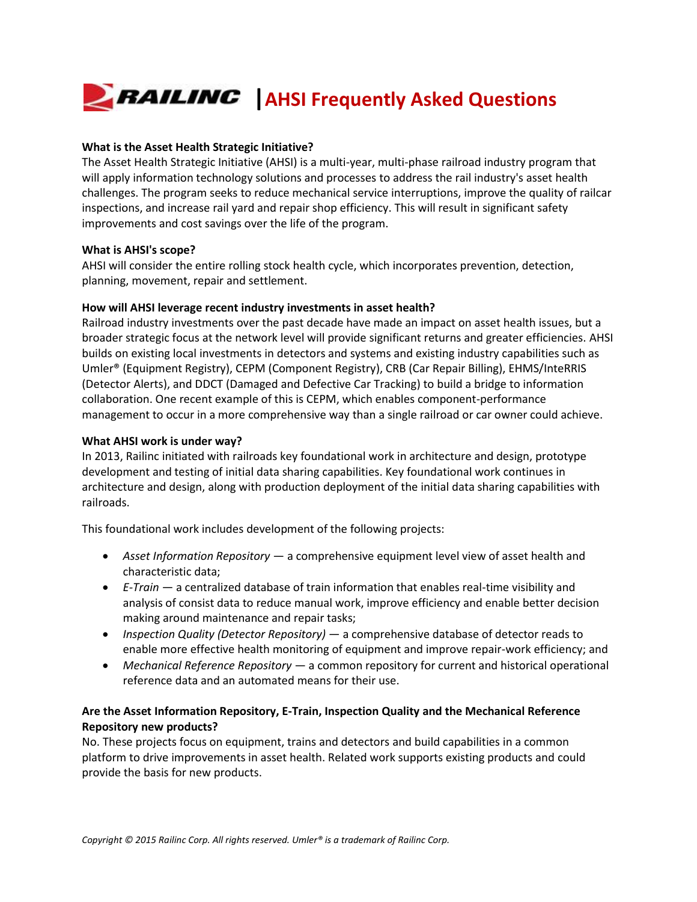# **EXAILING** AHSI Frequently Asked Questions

## **What is the Asset Health Strategic Initiative?**

The Asset Health Strategic Initiative (AHSI) is a multi-year, multi-phase railroad industry program that will apply information technology solutions and processes to address the rail industry's asset health challenges. The program seeks to reduce mechanical service interruptions, improve the quality of railcar inspections, and increase rail yard and repair shop efficiency. This will result in significant safety improvements and cost savings over the life of the program.

## **What is AHSI's scope?**

AHSI will consider the entire rolling stock health cycle, which incorporates prevention, detection, planning, movement, repair and settlement.

## **How will AHSI leverage recent industry investments in asset health?**

Railroad industry investments over the past decade have made an impact on asset health issues, but a broader strategic focus at the network level will provide significant returns and greater efficiencies. AHSI builds on existing local investments in detectors and systems and existing industry capabilities such as Umler® (Equipment Registry), CEPM (Component Registry), CRB (Car Repair Billing), EHMS/InteRRIS (Detector Alerts), and DDCT (Damaged and Defective Car Tracking) to build a bridge to information collaboration. One recent example of this is CEPM, which enables component-performance management to occur in a more comprehensive way than a single railroad or car owner could achieve.

## **What AHSI work is under way?**

In 2013, Railinc initiated with railroads key foundational work in architecture and design, prototype development and testing of initial data sharing capabilities. Key foundational work continues in architecture and design, along with production deployment of the initial data sharing capabilities with railroads.

This foundational work includes development of the following projects:

- *Asset Information Repository*  a comprehensive equipment level view of asset health and characteristic data;
- *E-Train*  a centralized database of train information that enables real-time visibility and analysis of consist data to reduce manual work, improve efficiency and enable better decision making around maintenance and repair tasks;
- *Inspection Quality (Detector Repository)* a comprehensive database of detector reads to enable more effective health monitoring of equipment and improve repair-work efficiency; and
- *Mechanical Reference Repository*  a common repository for current and historical operational reference data and an automated means for their use.

# **Are the Asset Information Repository, E-Train, Inspection Quality and the Mechanical Reference Repository new products?**

No. These projects focus on equipment, trains and detectors and build capabilities in a common platform to drive improvements in asset health. Related work supports existing products and could provide the basis for new products.